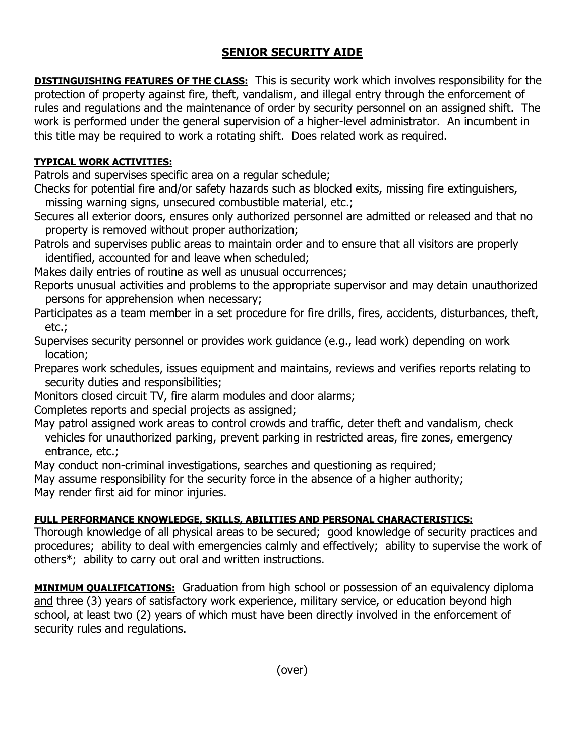# **SENIOR SECURITY AIDE**

**DISTINGUISHING FEATURES OF THE CLASS:** This is security work which involves responsibility for the protection of property against fire, theft, vandalism, and illegal entry through the enforcement of rules and regulations and the maintenance of order by security personnel on an assigned shift. The work is performed under the general supervision of a higher-level administrator. An incumbent in this title may be required to work a rotating shift. Does related work as required.

### **TYPICAL WORK ACTIVITIES:**

Patrols and supervises specific area on a regular schedule;

Checks for potential fire and/or safety hazards such as blocked exits, missing fire extinguishers, missing warning signs, unsecured combustible material, etc.;

Secures all exterior doors, ensures only authorized personnel are admitted or released and that no property is removed without proper authorization;

Patrols and supervises public areas to maintain order and to ensure that all visitors are properly identified, accounted for and leave when scheduled;

Makes daily entries of routine as well as unusual occurrences;

Reports unusual activities and problems to the appropriate supervisor and may detain unauthorized persons for apprehension when necessary;

Participates as a team member in a set procedure for fire drills, fires, accidents, disturbances, theft, etc.;

Supervises security personnel or provides work guidance (e.g., lead work) depending on work location;

Prepares work schedules, issues equipment and maintains, reviews and verifies reports relating to security duties and responsibilities;

Monitors closed circuit TV, fire alarm modules and door alarms;

Completes reports and special projects as assigned;

May patrol assigned work areas to control crowds and traffic, deter theft and vandalism, check vehicles for unauthorized parking, prevent parking in restricted areas, fire zones, emergency entrance, etc.;

May conduct non-criminal investigations, searches and questioning as required;

May assume responsibility for the security force in the absence of a higher authority;

May render first aid for minor injuries.

## **FULL PERFORMANCE KNOWLEDGE, SKILLS, ABILITIES AND PERSONAL CHARACTERISTICS:**

Thorough knowledge of all physical areas to be secured; good knowledge of security practices and procedures; ability to deal with emergencies calmly and effectively; ability to supervise the work of others\*; ability to carry out oral and written instructions.

**MINIMUM QUALIFICATIONS:** Graduation from high school or possession of an equivalency diploma and three (3) years of satisfactory work experience, military service, or education beyond high school, at least two (2) years of which must have been directly involved in the enforcement of security rules and regulations.